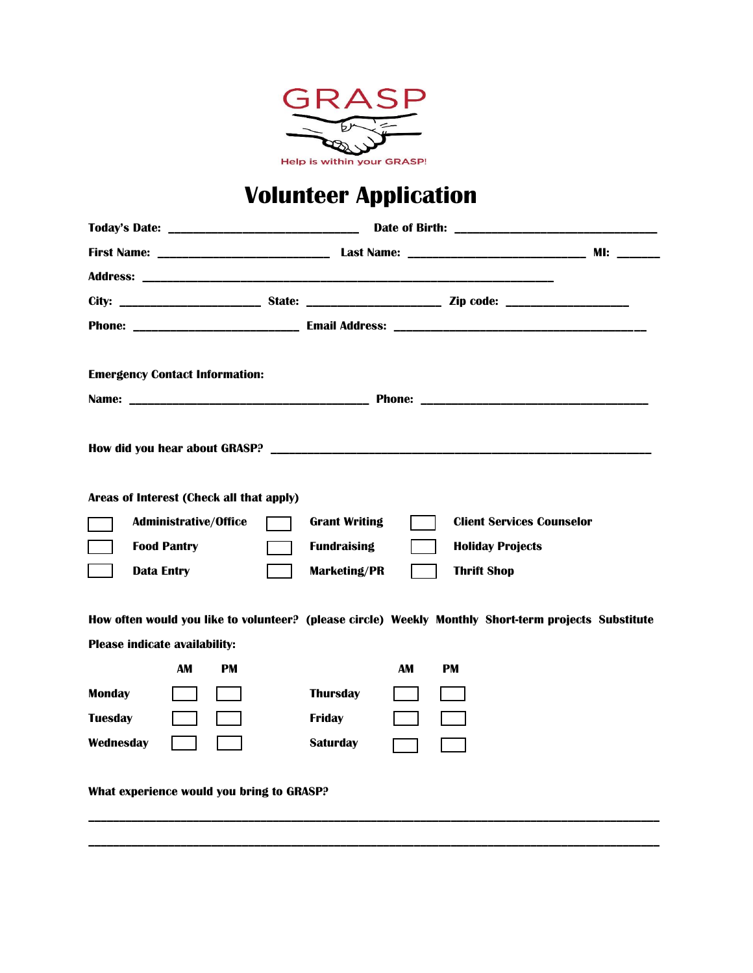

# **Volunteer Application**

| <b>Emergency Contact Information:</b>                                                                                                        |                                                          |  |
|----------------------------------------------------------------------------------------------------------------------------------------------|----------------------------------------------------------|--|
|                                                                                                                                              |                                                          |  |
|                                                                                                                                              |                                                          |  |
|                                                                                                                                              |                                                          |  |
| Areas of Interest (Check all that apply)                                                                                                     |                                                          |  |
| <b>Administrative/Office</b>                                                                                                                 | <b>Client Services Counselor</b><br><b>Grant Writing</b> |  |
| <b>Food Pantry</b>                                                                                                                           | <b>Fundraising</b><br><b>Holiday Projects</b>            |  |
| <b>Data Entry</b>                                                                                                                            | <b>Marketing/PR</b><br><b>Thrift Shop</b>                |  |
| How often would you like to volunteer? (please circle) Weekly Monthly Short-term projects Substitute<br><b>Please indicate availability:</b> |                                                          |  |
| AM<br>PM                                                                                                                                     | AM<br>PM                                                 |  |
| <b>Monday</b>                                                                                                                                | <b>Thursday</b>                                          |  |
| <b>Tuesday</b>                                                                                                                               | <b>Friday</b>                                            |  |
| Wednesday                                                                                                                                    | <b>Saturday</b>                                          |  |
| What experience would you bring to GRASP?                                                                                                    |                                                          |  |